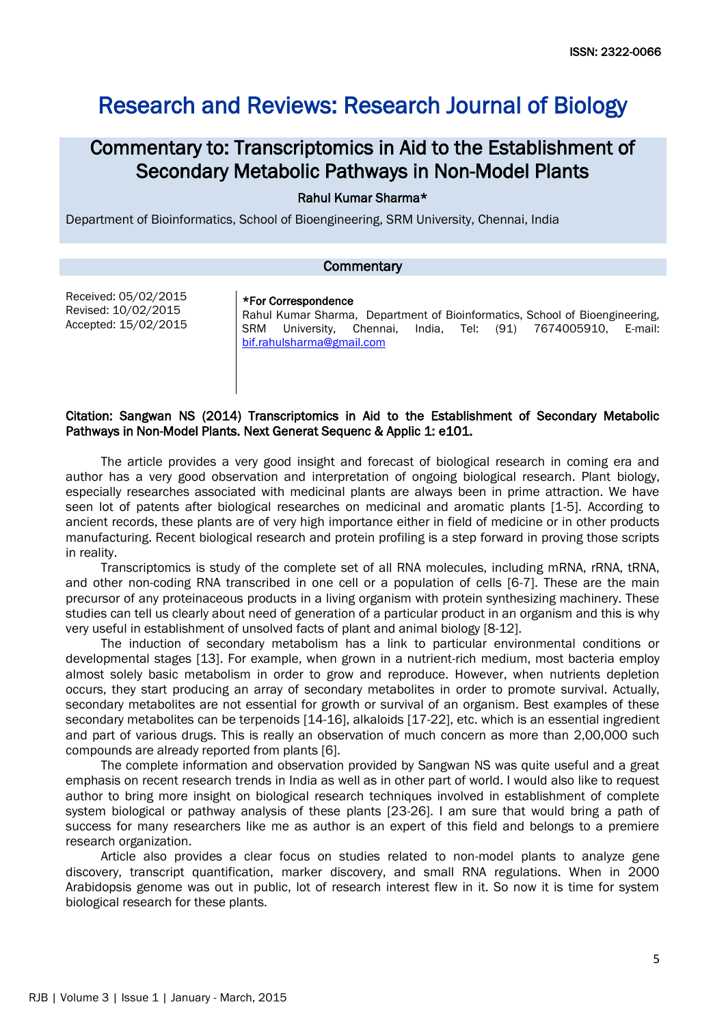# Research and Reviews: Research Journal of Biology

## Commentary to: Transcriptomics in Aid to the Establishment of Secondary Metabolic Pathways in Non-Model Plants

### Rahul Kumar Sharma\*

Department of Bioinformatics, School of Bioengineering, SRM University, Chennai, India

\*For Correspondence

#### **Commentary**

Received: 05/02/2015 Revised: 10/02/2015 Accepted: 15/02/2015

Rahul Kumar Sharma, Department of Bioinformatics, School of Bioengineering, SRM University, Chennai, India, Tel: (91) 7674005910, E-mail: [bif.rahulsharma@gmail.com](mailto:bif.rahulsharma@gmail.com)

#### Citation: Sangwan NS (2014) Transcriptomics in Aid to the Establishment of Secondary Metabolic Pathways in Non-Model Plants. Next Generat Sequenc & Applic 1: e101.

The article provides a very good insight and forecast of biological research in coming era and author has a very good observation and interpretation of ongoing biological research. Plant biology, especially researches associated with medicinal plants are always been in prime attraction. We have seen lot of patents after biological researches on medicinal and aromatic plants [1-5]. According to ancient records, these plants are of very high importance either in field of medicine or in other products manufacturing. Recent biological research and protein profiling is a step forward in proving those scripts in reality.

Transcriptomics is study of the complete set of all RNA molecules, including mRNA, rRNA, tRNA, and other non-coding RNA transcribed in one cell or a population of cells [6-7]. These are the main precursor of any proteinaceous products in a living organism with protein synthesizing machinery. These studies can tell us clearly about need of generation of a particular product in an organism and this is why very useful in establishment of unsolved facts of plant and animal biology [8-12].

The induction of secondary metabolism has a link to particular environmental conditions or developmental stages [13]. For example, when grown in a nutrient-rich medium, most bacteria employ almost solely basic metabolism in order to grow and reproduce. However, when nutrients depletion occurs, they start producing an array of secondary metabolites in order to promote survival. Actually, secondary metabolites are not essential for growth or survival of an organism. Best examples of these secondary metabolites can be terpenoids [14-16], alkaloids [17-22], etc. which is an essential ingredient and part of various drugs. This is really an observation of much concern as more than 2,00,000 such compounds are already reported from plants [6].

The complete information and observation provided by Sangwan NS was quite useful and a great emphasis on recent research trends in India as well as in other part of world. I would also like to request author to bring more insight on biological research techniques involved in establishment of complete system biological or pathway analysis of these plants [23-26]. I am sure that would bring a path of success for many researchers like me as author is an expert of this field and belongs to a premiere research organization.

Article also provides a clear focus on studies related to non-model plants to analyze gene discovery, transcript quantification, marker discovery, and small RNA regulations. When in 2000 Arabidopsis genome was out in public, lot of research interest flew in it. So now it is time for system biological research for these plants.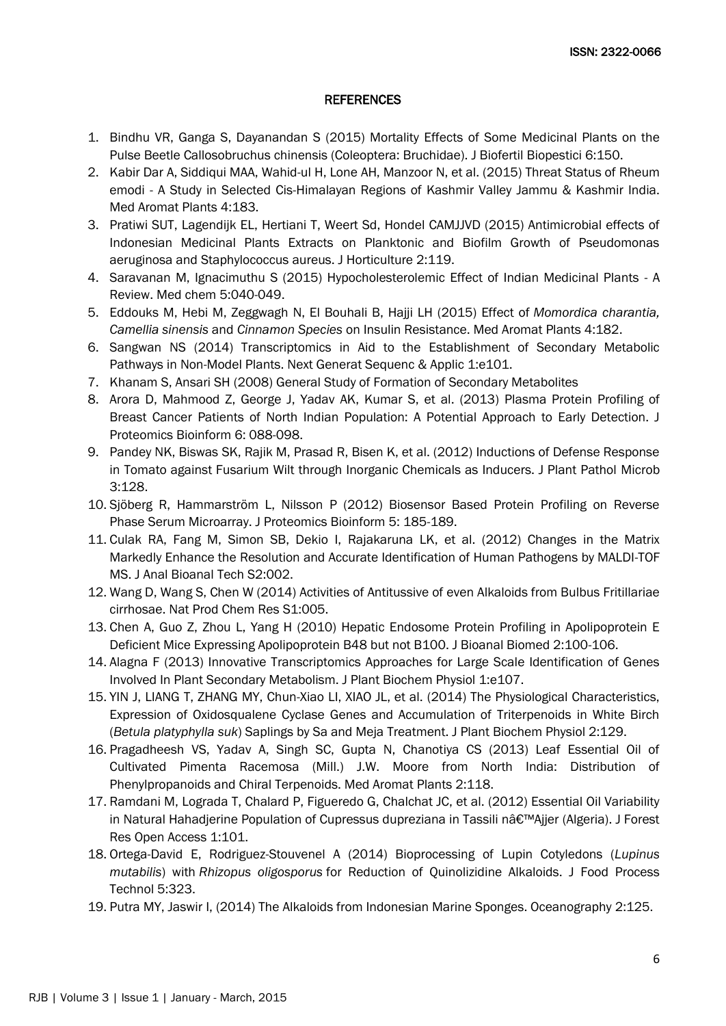#### **REFERENCES**

- 1. [Bindhu VR, Ganga S, Dayanandan S \(2015\) Mortality Effects of Some Medicinal Plants on the](http://omicsonline.org/open-access/mortality-effects-of-some-medicinal-plants-on-the-pulse-beetle-callosobruchuschinensis-coleoptera-bruchidae-2155-6202-1000150.php?aid=45256)  [Pulse Beetle Callosobruchus chinensis \(Coleoptera: Bruchidae\). J Biofertil Biopestici 6:150.](http://omicsonline.org/open-access/mortality-effects-of-some-medicinal-plants-on-the-pulse-beetle-callosobruchuschinensis-coleoptera-bruchidae-2155-6202-1000150.php?aid=45256)
- 2. [Kabir Dar A, Siddiqui MAA, Wahid-ul H, Lone AH, Manzoor N, et al. \(2015\) Threat Status of Rheum](http://omicsgroup.org/journals/threat-status-of-rheum-emodi--a-study-in-selected-cishimalayanregions-of-kashmir-valley-jammu--kashmir-india-2167-0412-1000183.php?aid=42250)  emodi - [A Study in Selected Cis-Himalayan Regions of Kashmir Valley Jammu & Kashmir India.](http://omicsgroup.org/journals/threat-status-of-rheum-emodi--a-study-in-selected-cishimalayanregions-of-kashmir-valley-jammu--kashmir-india-2167-0412-1000183.php?aid=42250)  [Med Aromat Plants 4:183.](http://omicsgroup.org/journals/threat-status-of-rheum-emodi--a-study-in-selected-cishimalayanregions-of-kashmir-valley-jammu--kashmir-india-2167-0412-1000183.php?aid=42250)
- 3. [Pratiwi SUT, Lagendijk EL, Hertiani T, Weert Sd, Hondel CAMJJVD \(2015\) Antimicrobial effects of](http://esciencecentral.org/journals/antimicrobial-effects-of-indonesian-medicinal-plants-extracts-on-planktonic-and-biofilm-growth-of-pseudomonas-aeruginosa-and-staphylococcus-aureus-2376-0354.1000119.php?aid=38125)  [Indonesian Medicinal Plants Extracts on Planktonic and Biofilm Growth of Pseudomonas](http://esciencecentral.org/journals/antimicrobial-effects-of-indonesian-medicinal-plants-extracts-on-planktonic-and-biofilm-growth-of-pseudomonas-aeruginosa-and-staphylococcus-aureus-2376-0354.1000119.php?aid=38125)  [aeruginosa and Staphylococcus aureus. J Horticulture 2:119.](http://esciencecentral.org/journals/antimicrobial-effects-of-indonesian-medicinal-plants-extracts-on-planktonic-and-biofilm-growth-of-pseudomonas-aeruginosa-and-staphylococcus-aureus-2376-0354.1000119.php?aid=38125)
- 4. [Saravanan M, Ignacimuthu S \(2015\) Hypocholesterolemic Effect of Indian Medicinal Plants -](http://omicsonline.org/open-access/hypocholesterolemic-effect-of-indian-medicinal-plants-a-review-2161-0444.1000040.php?aid=37082) A [Review. Med chem 5:040-049.](http://omicsonline.org/open-access/hypocholesterolemic-effect-of-indian-medicinal-plants-a-review-2161-0444.1000040.php?aid=37082)
- 5. [Eddouks M, Hebi M, Zeggwagh N, El Bouhali B, Hajji LH \(2015\) Effect of](http://omicsgroup.org/journals/effect-of-momordica-charantia-camellia-sinensis-and-cinnamon-specieson-insulin-resistance-2167-0412-1000182.php?aid=42246) *Momordica charantia, Camellia sinensis* and *Cinnamon Species* [on Insulin Resistance. Med Aromat Plants 4:182.](http://omicsgroup.org/journals/effect-of-momordica-charantia-camellia-sinensis-and-cinnamon-specieson-insulin-resistance-2167-0412-1000182.php?aid=42246)
- 6. [Sangwan NS \(2014\) Transcriptomics in Aid to the Establishment of Secondary Metabolic](http://omicsonline.org/open-access/transcriptomics-in-aid-to-the-establishment-of-secondary-metabolic-pathways-in-nonmodel-plants-jngsa.1000e101.php?aid=27199)  [Pathways in Non-Model Plants. Next Generat Sequenc & Applic 1:e101.](http://omicsonline.org/open-access/transcriptomics-in-aid-to-the-establishment-of-secondary-metabolic-pathways-in-nonmodel-plants-jngsa.1000e101.php?aid=27199)
- 7. [Khanam S, Ansari SH \(2008\) General Study of Formation of Secondary Metabolites](http://nsdl.niscair.res.in/123456789/718)
- 8. [Arora D, Mahmood Z, George J, Yadav AK, Kumar S, et al. \(2013\) Plasma Protein Profiling of](http://omicsonline.org/plasma-protein-profiling-of-breast-cancer-patients-of-north-indian%20population-a-potential-approach-to-early-detection-jpb.1000267.php?aid=13978)  [Breast Cancer Patients of North Indian Population: A Potential Approach to Early Detection. J](http://omicsonline.org/plasma-protein-profiling-of-breast-cancer-patients-of-north-indian%20population-a-potential-approach-to-early-detection-jpb.1000267.php?aid=13978)  [Proteomics Bioinform 6: 088-098.](http://omicsonline.org/plasma-protein-profiling-of-breast-cancer-patients-of-north-indian%20population-a-potential-approach-to-early-detection-jpb.1000267.php?aid=13978)
- 9. [Pandey NK, Biswas SK, Rajik M, Prasad R, Bisen K, et al. \(2012\) Inductions of Defense Response](http://omicsonline.org/inductions-of-defense-response-in-tomato-against-fusarium-wilt-through-inorganic-chemicals-as-inducers-2157-%207471.1000128.php?aid=8315)  [in Tomato against Fusarium Wilt through Inorganic Chemicals as Inducers. J Plant Pathol Microb](http://omicsonline.org/inductions-of-defense-response-in-tomato-against-fusarium-wilt-through-inorganic-chemicals-as-inducers-2157-%207471.1000128.php?aid=8315)  [3:128.](http://omicsonline.org/inductions-of-defense-response-in-tomato-against-fusarium-wilt-through-inorganic-chemicals-as-inducers-2157-%207471.1000128.php?aid=8315)
- 10. [Sjöberg R, Hammarström L, Nilsson P \(2012\) Biosensor Based Protein Profiling on Reverse](http://omicsonline.org/biosensor-based-protein-profiling-on-reverse-phase-serum-microarray-jpb.1000233.php?aid=7977)  [Phase Serum Microarray. J Proteomics Bioinform 5: 185-189.](http://omicsonline.org/biosensor-based-protein-profiling-on-reverse-phase-serum-microarray-jpb.1000233.php?aid=7977)
- 11. Culak RA, Fang M, Simon SB, Dekio I, [Rajakaruna LK, et al. \(2012\) Changes in the Matrix](http://omicsonline.org/changes-in-the-matrix-markedly-enhance-the-resolution-and-accurate-identification-of-human-pathogens-by-maldi-tof-ms-2155-9872.S2-002.php?aid=6545)  [Markedly Enhance the Resolution and Accurate Identification of Human Pathogens by MALDI-TOF](http://omicsonline.org/changes-in-the-matrix-markedly-enhance-the-resolution-and-accurate-identification-of-human-pathogens-by-maldi-tof-ms-2155-9872.S2-002.php?aid=6545)  [MS. J Anal Bioanal Tech S2:002.](http://omicsonline.org/changes-in-the-matrix-markedly-enhance-the-resolution-and-accurate-identification-of-human-pathogens-by-maldi-tof-ms-2155-9872.S2-002.php?aid=6545)
- 12. [Wang D, Wang S, Chen W \(2014\) Activities of Antitussive of even Alkaloids from Bulbus Fritillariae](http://esciencecentral.org/journals/activities-of-antitussive-of-even-alkaloids-from-bulbus-fritillariae-cirrhosae-2329-6836.S1-005.php?aid=33072)  [cirrhosae. Nat Prod Chem Res S1:005.](http://esciencecentral.org/journals/activities-of-antitussive-of-even-alkaloids-from-bulbus-fritillariae-cirrhosae-2329-6836.S1-005.php?aid=33072)
- 13. [Chen A, Guo Z, Zhou L, Yang H \(2010\) Hepatic Endosome Protein Profiling in Apolipoprotein E](http://omicsonline.org/hepatic-endosome-protein-profiling-in-apolipoprotein-e-deficient-mice-expressing-apolipoprotein-b-but-not-b-1948-593X.1000031.php?aid=349)  [Deficient Mice Expressing Apolipoprotein B48 but not B100. J Bioanal Biomed 2:100-106.](http://omicsonline.org/hepatic-endosome-protein-profiling-in-apolipoprotein-e-deficient-mice-expressing-apolipoprotein-b-but-not-b-1948-593X.1000031.php?aid=349)
- 14. [Alagna F \(2013\) Innovative Transcriptomics Approaches for Large Scale Identification of Genes](http://esciencecentral.org/journals/innovative-transcriptomics-approaches-for-large-scale-identification-of-%20genes-involved-in-plant-secondary-metabolism-2329-9029.1000e107.php?aid=14675)  [Involved In Plant Secondary Metabolism. J Plant Biochem Physiol 1:e107.](http://esciencecentral.org/journals/innovative-transcriptomics-approaches-for-large-scale-identification-of-%20genes-involved-in-plant-secondary-metabolism-2329-9029.1000e107.php?aid=14675)
- 15. [YIN J, LIANG T, ZHANG MY, Chun-Xiao LI, XIAO JL, et al. \(2014\) The Physiological Characteristics,](http://esciencecentral.org/journals/the-physiological-characteristics-expression-of-oxidosqualene-cyclase-genes-and-accumulation-of-triterpenoids-in-white-birch-saplings-by-sa-and-meja-treatment-2329-9029.1000129.php?aid=28008)  [Expression of Oxidosqualene Cyclase Genes and Accumulation of Triterpenoids in White Birch](http://esciencecentral.org/journals/the-physiological-characteristics-expression-of-oxidosqualene-cyclase-genes-and-accumulation-of-triterpenoids-in-white-birch-saplings-by-sa-and-meja-treatment-2329-9029.1000129.php?aid=28008)  (*Betula platyphylla suk*[\) Saplings by Sa and Meja Treatment. J Plant Biochem Physiol 2:129.](http://esciencecentral.org/journals/the-physiological-characteristics-expression-of-oxidosqualene-cyclase-genes-and-accumulation-of-triterpenoids-in-white-birch-saplings-by-sa-and-meja-treatment-2329-9029.1000129.php?aid=28008)
- 16. [Pragadheesh VS, Yadav A, Singh SC, Gupta N, Chanotiya CS \(2013\) Leaf Essential Oil of](http://omicsgroup.org/journals/leaf-essential-oil-of-cultivated-pimenta-racemosa-mill-jw-moore-from-north-india-distribution-of-phenylpropanoids-and-chiral-terpenoids-2167-0412.1000118.php?aid=10748)  [Cultivated Pimenta Racemosa \(Mill.\) J.W. Moore from North India: Distribution of](http://omicsgroup.org/journals/leaf-essential-oil-of-cultivated-pimenta-racemosa-mill-jw-moore-from-north-india-distribution-of-phenylpropanoids-and-chiral-terpenoids-2167-0412.1000118.php?aid=10748)  [Phenylpropanoids and Chiral Terpenoids. Med Aromat Plants 2:118.](http://omicsgroup.org/journals/leaf-essential-oil-of-cultivated-pimenta-racemosa-mill-jw-moore-from-north-india-distribution-of-phenylpropanoids-and-chiral-terpenoids-2167-0412.1000118.php?aid=10748)
- 17. [Ramdani M, Lograda T, Chalard P, Figueredo G, Chalchat JC, et al. \(2012\) Essential Oil Variability](http://omicsgroup.org/journals/essential-oil-variability-in-natural-hahadjerine-population-of-cupressus%20dupreziana-in-tassili-najjer-algeria-2168-9776.1000101.php?aid=3471)  in Natural Hahadjerine Population of Cupressus dupreziana in Tassili n'Ajjer (Algeria). J Forest [Res Open Access 1:101.](http://omicsgroup.org/journals/essential-oil-variability-in-natural-hahadjerine-population-of-cupressus%20dupreziana-in-tassili-najjer-algeria-2168-9776.1000101.php?aid=3471)
- 18. [Ortega-David E, Rodriguez-Stouvenel A \(2014\)](http://omicsonline.org/open-access/bioprocessing-of-lupin-cotyledons-lupinus-mutabilis-with-rhizopus-oligosporus-for-reduction-of-quinolizidine-alkaloids-2157-7110.1000323.php?aid=27046) Bioprocessing of Lupin Cotyledons (*Lupinus mutabilis*) with *Rhizopus oligosporus* [for Reduction of Quinolizidine Alkaloids. J Food Process](http://omicsonline.org/open-access/bioprocessing-of-lupin-cotyledons-lupinus-mutabilis-with-rhizopus-oligosporus-for-reduction-of-quinolizidine-alkaloids-2157-7110.1000323.php?aid=27046)  [Technol 5:323.](http://omicsonline.org/open-access/bioprocessing-of-lupin-cotyledons-lupinus-mutabilis-with-rhizopus-oligosporus-for-reduction-of-quinolizidine-alkaloids-2157-7110.1000323.php?aid=27046)
- 19. [Putra MY, Jaswir I, \(2014\) The Alkaloids from Indonesian Marine Sponges. Oceanography 2:125.](http://esciencecentral.org/journals/the-alkaloids-from-indonesian-marine-sponges-2332-2632-2-125.php?aid=26581)